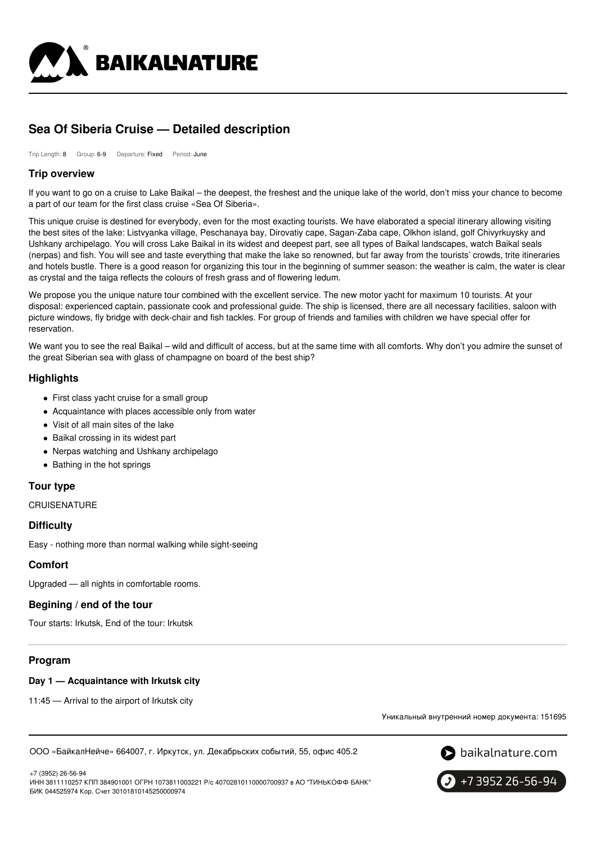

# **Sea Of Siberia Cruise — Detailed description**

Trip Length: 8 Group: 6-9 Departure: Fixed Period: June

### **Trip overview**

If you want to go on a cruise to Lake Baikal – the deepest, the freshest and the unique lake of the world, don't miss your chance to become a part of our team for the first class cruise «Sea Of Siberia».

This unique cruise is destined for everybody, even for the most exacting tourists. We have elaborated a special itinerary allowing visiting the best sites of the lake: Listvyanka village, Peschanaya bay, Dirovatiy cape, Sagan-Zaba cape, Olkhon island, golf Chivyrkuysky and Ushkany archipelago. You will cross Lake Baikal in its widest and deepest part, see all types of Baikal landscapes, watch Baikal seals (nerpas) and fish. You will see and taste everything that make the lake so renowned, but far away from the tourists' crowds, trite itineraries and hotels bustle. There is a good reason for organizing this tour in the beginning of summer season: the weather is calm, the water is clear as crystal and the taiga reflects the colours of fresh grass and of flowering ledum.

We propose you the unique nature tour combined with the excellent service. The new motor yacht for maximum 10 tourists. At your disposal: experienced captain, passionate cook and professional guide. The ship is licensed, there are all necessary facilities, saloon with picture windows, fly bridge with deck-chair and fish tackles. For group of friends and families with children we have special offer for reservation.

We want you to see the real Baikal – wild and difficult of access, but at the same time with all comforts. Why don't you admire the sunset of the great Siberian sea with glass of champagne on board of the best ship?

### **Highlights**

- First class yacht cruise for a small group
- Acquaintance with places accessible only from water
- Visit of all main sites of the lake
- Baikal crossing in its widest part
- Nerpas watching and Ushkany archipelago
- Bathing in the hot springs

# **Tour type**

**CRUISENATURE** 

### **Difficulty**

Easy - nothing more than normal walking while sight-seeing

### **Comfort**

Upgraded — all nights in comfortable rooms.

# **Begining / end of the tour**

Tour starts: Irkutsk, End of the tour: Irkutsk

### **Program**

### **Day 1 — Acquaintance with Irkutsk city**

11:45 — Arrival to the airport of Irkutsk city

Уникальный внутренний номер документа: 151695

ООО «БайкалНейче» 664007, г. Иркутск, ул. Декабрьских событий, 55, офис 405.2



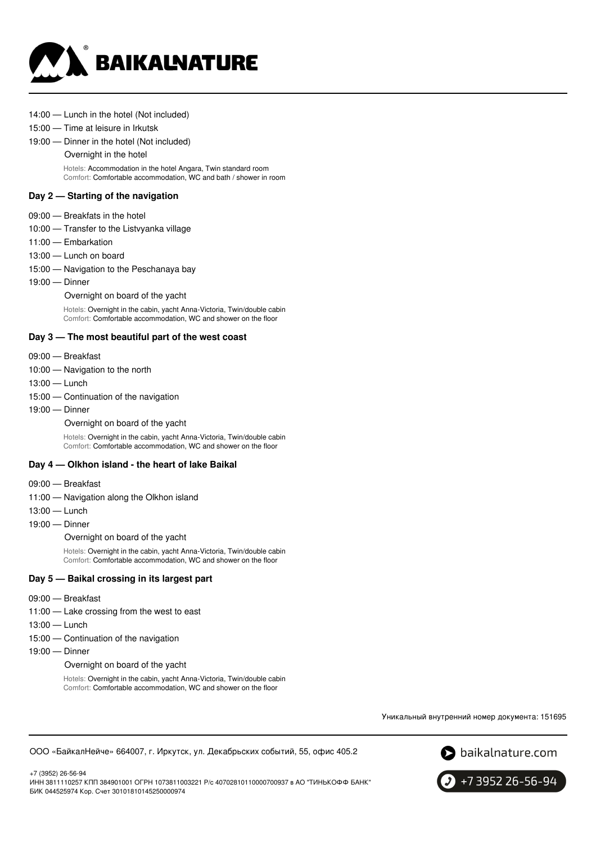

#### 14:00 — Lunch in the hotel (Not included)

#### 15:00 — Time at leisure in Irkutsk

19:00 — Dinner in the hotel (Not included)

Overnight in the hotel

Hotels: Accommodation in the hotel Angara, Twin standard room Comfort: Comfortable accommodation, WC and bath / shower in room

#### **Day 2 — Starting of the navigation**

- 09:00 Breakfats in the hotel
- 10:00 Transfer to the Listvyanka village
- 11:00 Embarkation
- 13:00 Lunch on board
- 15:00 Navigation to the Peschanaya bay
- 19:00 Dinner

Overnight on board of the yacht

Hotels: Overnight in the cabin, yacht Anna-Victoria, Twin/double cabin Comfort: Comfortable accommodation, WC and shower on the floor

#### **Day 3 — The most beautiful part of the west coast**

- 09:00 Breakfast
- 10:00 Navigation to the north
- 13:00 Lunch
- 15:00 Continuation of the navigation
- 19:00 Dinner

Overnight on board of the yacht

Hotels: Overnight in the cabin, yacht Anna-Victoria, Twin/double cabin Comfort: Comfortable accommodation, WC and shower on the floor

### **Day 4 — Olkhon island - the heart of lake Baikal**

- 09:00 Breakfast
- 11:00 Navigation along the Olkhon island
- 13:00 Lunch
- 19:00 Dinner

Overnight on board of the yacht

Hotels: Overnight in the cabin, yacht Anna-Victoria, Twin/double cabin Comfort: Comfortable accommodation, WC and shower on the floor

#### **Day 5 — Baikal crossing in its largest part**

- 09:00 Breakfast
- 11:00 Lake crossing from the west to east
- 13:00 Lunch
- 15:00 Continuation of the navigation
- 19:00 Dinner

+7 (3952) 26-56-94

Overnight on board of the yacht

Hotels: Overnight in the cabin, yacht Anna-Victoria, Twin/double cabin Comfort: Comfortable accommodation, WC and shower on the floor

Уникальный внутренний номер документа: 151695





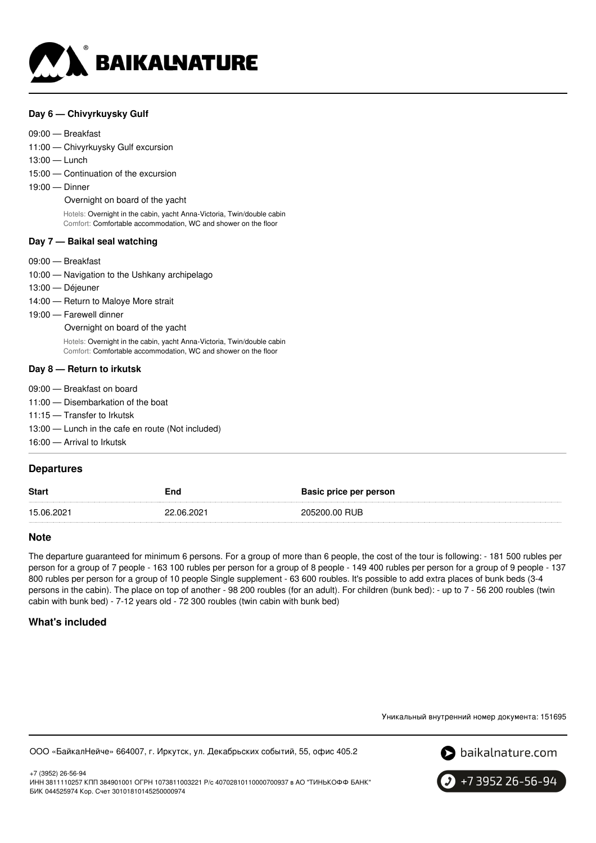

### **Day 6 — Chivyrkuysky Gulf**

#### 09:00 — Breakfast

11:00 — Chivyrkuysky Gulf excursion

13:00 — Lunch

15:00 — Continuation of the excursion

19:00 — Dinner

Overnight on board of the yacht

Hotels: Overnight in the cabin, yacht Anna-Victoria, Twin/double cabin Comfort: Comfortable accommodation, WC and shower on the floor

#### **Day 7 — Baikal seal watching**

- 09:00 Breakfast
- 10:00 Navigation to the Ushkany archipelago
- 13:00 Déjeuner
- 14:00 Return to Maloye More strait
- 19:00 Farewell dinner

Overnight on board of the yacht

Hotels: Overnight in the cabin, yacht Anna-Victoria, Twin/double cabin Comfort: Comfortable accommodation, WC and shower on the floor

#### **Day 8 — Return to irkutsk**

- 09:00 Breakfast on board
- 11:00 Disembarkation of the boat
- 11:15 Transfer to Irkutsk
- 13:00 Lunch in the cafe en route (Not included)
- 16:00 Arrival to Irkutsk

### **Departures**

| <b>Start</b> | End        | Basic price per person |
|--------------|------------|------------------------|
| 15.06.2021   | 22.06.2021 | 205200.00 RUB          |

#### **Note**

The departure guaranteed for minimum 6 persons. For a group of more than 6 people, the cost of the tour is following: - 181 500 rubles per person for a group of 7 people - 163 100 rubles per person for a group of 8 people - 149 400 rubles per person for a group of 9 people - 137 800 rubles per person for a group of 10 people Single supplement - 63 600 roubles. It's possible to add extra places of bunk beds (3-4 persons in the cabin). The place on top of another - 98 200 roubles (for an adult). For children (bunk bed): - up to 7 - 56 200 roubles (twin cabin with bunk bed) - 7-12 years old - 72 300 roubles (twin cabin with bunk bed)

### **What's included**

Уникальный внутренний номер документа: 151695

ООО «БайкалНейче» 664007, г. Иркутск, ул. Декабрьских событий, 55, офис 405.2



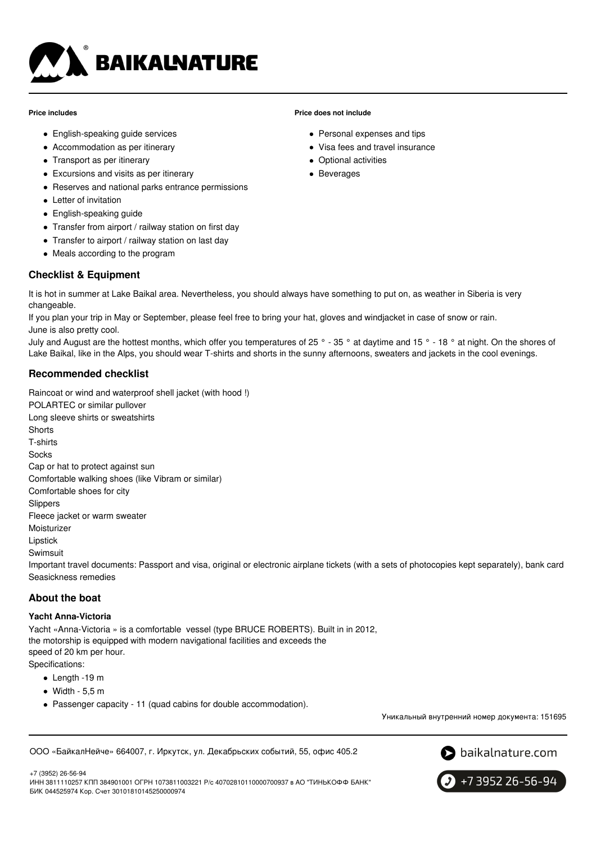

#### **Price includes**

- English-speaking guide services
- Accommodation as per itinerary
- Transport as per itinerary
- Excursions and visits as per itinerary
- Reserves and national parks entrance permissions
- Letter of invitation
- English-speaking guide
- Transfer from airport / railway station on first day
- Transfer to airport / railway station on last day
- Meals according to the program

# **Checklist & Equipment**

It is hot in summer at Lake Baikal area. Nevertheless, you should always have something to put on, as weather in Siberia is very changeable.

If you plan your trip in May or September, please feel free to bring your hat, gloves and windjacket in case of snow or rain. June is also pretty cool.

July and August are the hottest months, which offer you temperatures of 25 ° - 35 ° at daytime and 15 ° - 18 ° at night. On the shores of Lake Baikal, like in the Alps, you should wear T-shirts and shorts in the sunny afternoons, sweaters and jackets in the cool evenings.

# **Recommended checklist**

Raincoat or wind and waterproof shell jacket (with hood !)

POLARTEC or similar pullover Long sleeve shirts or sweatshirts **Shorts** T-shirts Socks Cap or hat to protect against sun Comfortable walking shoes (like Vibram or similar) Comfortable shoes for city Slippers Fleece jacket or warm sweater Moisturizer Lipstick Swimsuit Important travel documents: Passport and visa, original or electronic airplane tickets (with a sets of photocopies kept separately), bank card Seasickness remedies

### **About the boat**

#### **Yacht Anna-Victoria**

Yacht «Anna-Victoria » is a comfortable vessel (type BRUCE ROBERTS). Built in in 2012, the motorship is equipped with modern navigational facilities and exceeds the speed of 20 km per hour. Specifications:

- - Length -19 m
	- $\bullet$  Width 5,5 m
	- Passenger capacity 11 (quad cabins for double accommodation).

Уникальный внутренний номер документа: 151695

ООО «БайкалНейче» 664007, г. Иркутск, ул. Декабрьских событий, 55, офис 405.2



+7 (3952) 26-56-94

ИНН 3811110257 КПП 384901001 ОГРН 1073811003221 Р/с 40702810110000700937 в АО "ТИНЬКОФФ БАНК" БИК 044525974 Кор. Счет 30101810145250000974



### **Price does not include**

- Personal expenses and tips
- Visa fees and travel insurance
- Optional activities
- Beverages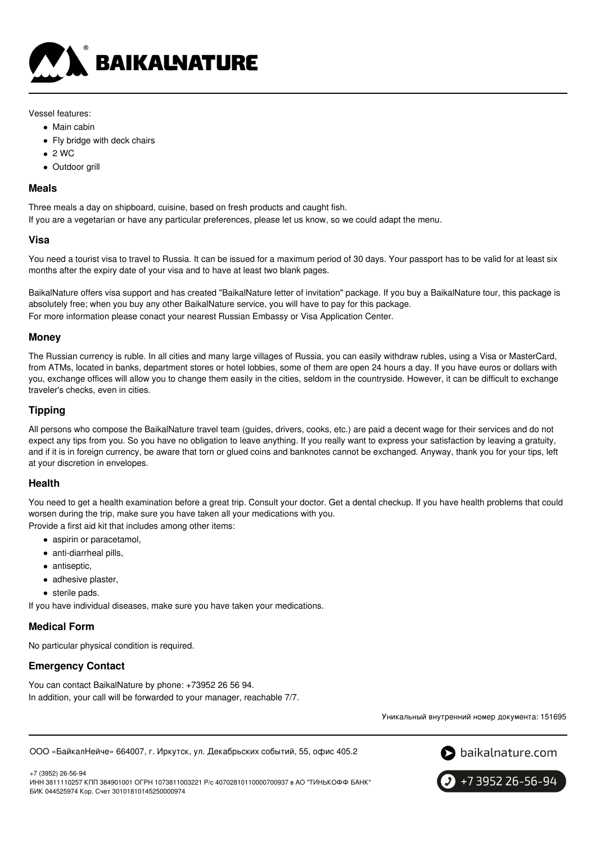

### Vessel features:

- Main cabin
- Fly bridge with deck chairs
- $\bullet$  2 WC
- Outdoor grill

### **Meals**

Three meals a day on shipboard, cuisine, based on fresh products and caught fish.

If you are a vegetarian or have any particular preferences, please let us know, so we could adapt the menu.

### **Visa**

You need a tourist visa to travel to Russia. It can be issued for a maximum period of 30 days. Your passport has to be valid for at least six months after the expiry date of your visa and to have at least two blank pages.

BaikalNature offers visa support and has created "BaikalNature letter of invitation" package. If you buy a BaikalNature tour, this package is absolutely free; when you buy any other BaikalNature service, you will have to pay for this package. For more information please conact your nearest Russian Embassy or Visa Application Center.

### **Money**

The Russian currency is ruble. In all cities and many large villages of Russia, you can easily withdraw rubles, using a Visa or MasterCard, from ATMs, located in banks, department stores or hotel lobbies, some of them are open 24 hours a day. If you have euros or dollars with you, exchange offices will allow you to change them easily in the cities, seldom in the countryside. However, it can be difficult to exchange traveler's checks, even in cities.

# **Tipping**

All persons who compose the BaikalNature travel team (guides, drivers, cooks, etc.) are paid a decent wage for their services and do not expect any tips from you. So you have no obligation to leave anything. If you really want to express your satisfaction by leaving a gratuity, and if it is in foreign currency, be aware that torn or glued coins and banknotes cannot be exchanged. Anyway, thank you for your tips, left at your discretion in envelopes.

# **Health**

You need to get a health examination before a great trip. Consult your doctor. Get a dental checkup. If you have health problems that could worsen during the trip, make sure you have taken all your medications with you.

Provide a first aid kit that includes among other items:

- aspirin or paracetamol,
- anti-diarrheal pills,
- antiseptic,
- adhesive plaster,
- sterile pads.

If you have individual diseases, make sure you have taken your medications.

# **Medical Form**

No particular physical condition is required.

# **Emergency Contact**

You can contact BaikalNature by phone: +73952 26 56 94. In addition, your call will be forwarded to your manager, reachable 7/7.

Уникальный внутренний номер документа: 151695

ООО «БайкалНейче» 664007, г. Иркутск, ул. Декабрьских событий, 55, офис 405.2